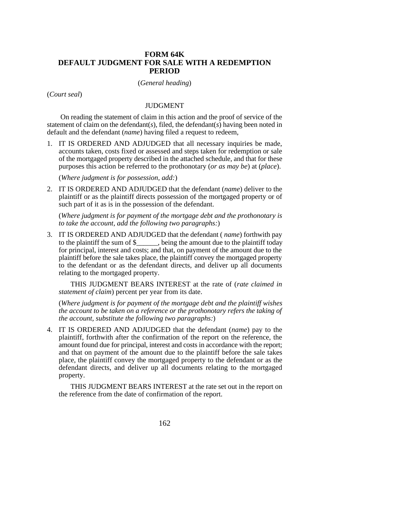## **FORM 64K DEFAULT JUDGMENT FOR SALE WITH A REDEMPTION PERIOD**

## (*General heading*)

(*Court seal*)

## JUDGMENT

 On reading the statement of claim in this action and the proof of service of the statement of claim on the defendant(*s*), filed, the defendant(*s*) having been noted in default and the defendant (*name*) having filed a request to redeem,

1. IT IS ORDERED AND ADJUDGED that all necessary inquiries be made, accounts taken, costs fixed or assessed and steps taken for redemption or sale of the mortgaged property described in the attached schedule, and that for these purposes this action be referred to the prothonotary (*or as may be*) at (*place*).

(*Where judgment is for possession, add:*)

2. IT IS ORDERED AND ADJUDGED that the defendant (*name*) deliver to the plaintiff or as the plaintiff directs possession of the mortgaged property or of such part of it as is in the possession of the defendant.

(*Where judgment is for payment of the mortgage debt and the prothonotary is to take the account, add the following two paragraphs:*)

3. IT IS ORDERED AND ADJUDGED that the defendant ( *name*) forthwith pay to the plaintiff the sum of \$\_\_\_\_\_\_, being the amount due to the plaintiff today for principal, interest and costs; and that, on payment of the amount due to the plaintiff before the sale takes place, the plaintiff convey the mortgaged property to the defendant or as the defendant directs, and deliver up all documents relating to the mortgaged property.

THIS JUDGMENT BEARS INTEREST at the rate of (*rate claimed in statement of claim*) percent per year from its date.

(*Where judgment is for payment of the mortgage debt and the plaintiff wishes the account to be taken on a reference or the prothonotary refers the taking of the account, substitute the following two paragraphs:*)

4. IT IS ORDERED AND ADJUDGED that the defendant (*name*) pay to the plaintiff, forthwith after the confirmation of the report on the reference, the amount found due for principal, interest and costs in accordance with the report; and that on payment of the amount due to the plaintiff before the sale takes place, the plaintiff convey the mortgaged property to the defendant or as the defendant directs, and deliver up all documents relating to the mortgaged property.

THIS JUDGMENT BEARS INTEREST at the rate set out in the report on the reference from the date of confirmation of the report.